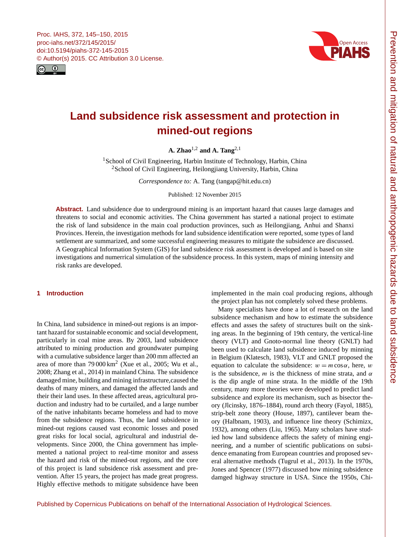<span id="page-0-1"></span>



# **Land subsidence risk assessment and protection in mined-out regions**

**A. Zhao**[1,2](#page-0-0) **and A. Tang**[2,1](#page-0-0)

<sup>1</sup> School of Civil Engineering, Harbin Institute of Technology, Harbin, China <sup>2</sup>School of Civil Engineering, Heilongjiang University, Harbin, China

*Correspondence to:* A. Tang (tangap@hit.edu.cn)

Published: 12 November 2015

**Abstract.** Land subsidence due to underground mining is an important hazard that causes large damages and threatens to social and economic activities. The China government has started a national project to estimate the risk of land subsidence in the main coal production provinces, such as Heilongjiang, Anhui and Shanxi Provinces. Herein, the investigation methods for land subsidence identification were reported, some types of land settlement are summarized, and some successful engineering measures to mitigate the subsidence are discussed. A Geographical Information System (GIS) for land subsidence risk assessment is developed and is based on site investigations and numerrical simulation of the subsidence process. In this system, maps of mining intensity and risk ranks are developed.

## <span id="page-0-0"></span>**1 Introduction**

In China, land subsidence in mined-out regions is an important hazard for sustainable economic and social development, particularly in coal mine areas. By 2003, land subsidence attributed to mining production and groundwater pumping with a cumulative subsidence larger than 200 mm affected an area of more than  $79000 \,\mathrm{km}^2$  (Xue et al., 2005; Wu et al., 2008; Zhang et al., 2014) in mainland China. The subsidence damaged mine, building and mining infrastructure,caused the deaths of many miners, and damaged the affected lands and their their land uses. In these affected areas, agricultural production and industry had to be curtailed, and a large number of the native inhabitants became homeless and had to move from the subsidence regions. Thus, the land subsidence in mined-out regions caused vast economic losses and posed great risks for local social, agricultural and industrial developments. Since 2000, the China government has implemented a national project to real-time monitor and assess the hazard and risk of the mined-out regions, and the core of this project is land subsidence risk assessment and prevention. After 15 years, the project has made great progress. Highly effective methods to mitigate subsidence have been implemented in the main coal producing regions, although the project plan has not completely solved these problems.

Many specialists have done a lot of research on the land subsidence mechanism and how to estimate the subsidence effects and asses the safety of structures built on the sinking areas. In the beginning of 19th century, the vertical-line theory (VLT) and Gnoto-normal line theory (GNLT) had been used to calculate land subsidence induced by minning in Belgium (Klatesch, 1983), VLT and GNLT proposed the equation to calculate the subsidence:  $w = m \cos \alpha$ , here, w is the subsidence, m is the thickness of mine strata, and  $\alpha$ is the dip angle of mine strata. In the middle of the 19th century, many more theories were developed to predict land subsidence and explore its mechanism, such as bisector theory (Jlcinsky, 1876–1884), round arch theory (Fayol, 1885), strip-belt zone theory (House, 1897), cantilever beam theory (Halbnam, 1903), and influence line theory (Schimizx, 1932), among others (Liu, 1965). Many scholars have studied how land subsidence affects the safety of mining engineering, and a number of scientific publications on subsidence emanating from European countries and proposed several alternative methods (Tugrul et al., 2013). In the 1970s, Jones and Spencer (1977) discussed how mining subsidence damged highway structure in USA. Since the 1950s, Chi-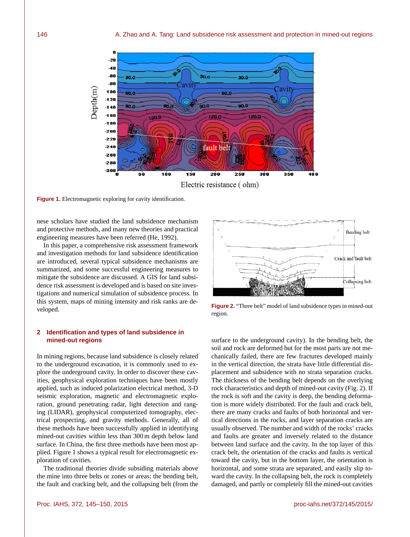

**Figure 1.** Electromagnetic exploring for cavity identification.

nese scholars have studied the land subsidence mechanism and protective methods, and many new theories and practical engineering measures have been referred (He, 1992).

In this paper, a comprehensive risk assessment framework and investigation methods for land subsidence identification are introduced, several typical subsidence mechanisms are summarized, and some successful engineering measures to mitigate the subsidence are discussed. A GIS for land subsidence risk assessment is developed and is based on site investigations and numerical simulation of subsidence process. In this system, maps of mining intensity and risk ranks are developed.

# **2 Identification and types of land subsidence in mined-out regions**

In mining regions, because land subsidence is closely related to the underground excavation, it is commonly used to explore the underground cavity. In order to discover these cavities, geophysical exploration techniques have been mostly applied, such as induced polarization electrical method, 3-D seismic exploration, magnetic and electromagnetic exploration, ground penetrating radar, light detection and ranging (LIDAR), geophysical computerized tomography, electrical prospecting, and gravity methods. Generally, all of these methods have been successfully applied in identifying mined-out cavities within less than 300 m depth below land surface. In China, the first three methods have been most applied. Figure 1 shows a typical result for electromagnetic exploration of cavities.

The traditional theories divide subsiding materials above the mine into three belts or zones or areas: the bending belt, the fault and cracking belt, and the collapsing belt (from the



**Figure 2.** "Three belt" model of land subsidence types in mined-out region.

surface to the underground cavity). In the bending belt, the soil and rock are deformed but for the most parts are not mechanically failed, there are few fractures developed mainly in the vertical direction, the strata have little differential displacement and subsidence with no strata separation cracks. The thickness of the bending belt depends on the overlying rock characteristics and depth of mined-out cavity (Fig. 2). If the rock is soft and the cavity is deep, the bending deformation is more widely distributed. For the fault and crack belt, there are many cracks and faults of both horizontal and vertical directions in the rocks, and layer separation cracks are usually observed. The number and width of the rocks' cracks and faults are greater and inversely related to the distance between land surface and the cavity. In the top layer of this crack belt, the orientation of the cracks and faults is vertical toward the cavity, but in the bottom layer, the orientation is horizontal, and some strata are separated, and easily slip toward the cavity. In the collapsing belt, the rock is completely damaged, and partly or completely fill the mined-out cavities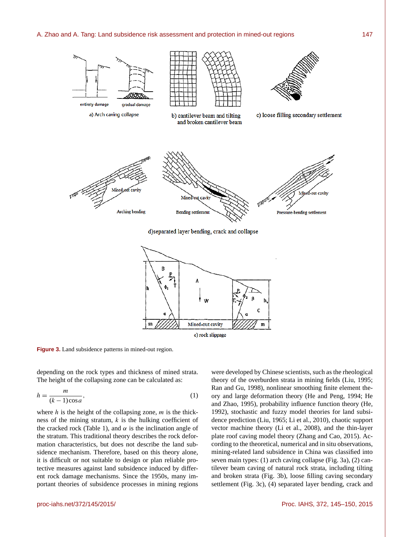

u

Mined-out cavity

e) rock slippage

**Figure 3.** Land subsidence patterns in mined-out region.

depending on the rock types and thickness of mined strata. The height of the collapsing zone can be calculated as:

m

$$
h = \frac{m}{(k-1)\cos a},\tag{1}
$$

where  $h$  is the height of the collapsing zone,  $m$  is the thickness of the mining stratum,  $k$  is the hulking coefficient of the cracked rock (Table 1), and  $\alpha$  is the inclination angle of the stratum. This traditional theory describes the rock deformation characteristics, but does not describe the land subsidence mechanism. Therefore, based on this theory alone, it is difficult or not suitable to design or plan reliable protective measures against land subsidence induced by different rock damage mechanisms. Since the 1950s, many important theories of subsidence processes in mining regions

were developed by Chinese scientists, such as the rheological theory of the overburden strata in mining fields (Liu, 1995; Ran and Gu, 1998), nonlinear smoothing finite element theory and large deformation theory (He and Peng, 1994; He and Zhao, 1995), probability influence function theory (He, 1992), stochastic and fuzzy model theories for land subsidence prediction (Liu, 1965; Li et al., 2010), chaotic support vector machine theory (Li et al., 2008), and the thin-layer plate roof caving model theory (Zhang and Cao, 2015). According to the theoretical, numerical and in situ observations, mining-related land subsidence in China was classified into seven main types: (1) arch caving collapse (Fig. 3a), (2) cantilever beam caving of natural rock strata, including tilting and broken strata (Fig. 3b), loose filling caving secondary settlement (Fig. 3c), (4) separated layer bending, crack and

 $\mathbf{m}$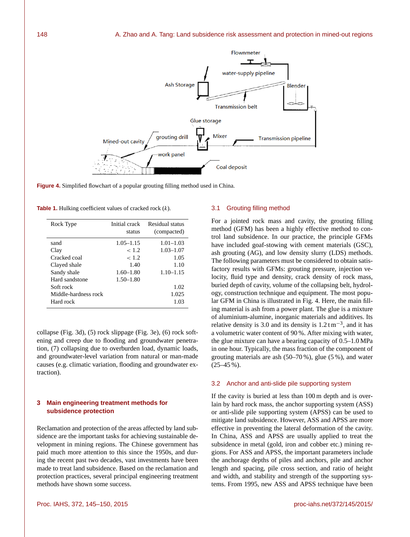

**Figure 4.** Simplified flowchart of a popular grouting filling method used in China.

**Table 1.** Hulking coefficient values of cracked rock (k).

| Rock Type            | Initial crack<br>status | Residual status<br>(compacted) |
|----------------------|-------------------------|--------------------------------|
| sand                 | $1.05 - 1.15$           | $1.01 - 1.03$                  |
| Clay                 | ~1.2~                   | $1.03 - 1.07$                  |
| Cracked coal         | < 1.2                   | 1.05                           |
| Clayed shale         | 1.40                    | 1.10                           |
| Sandy shale          | $1.60 - 1.80$           | $1.10 - 1.15$                  |
| Hard sandstone       | $1.50 - 1.80$           |                                |
| Soft rock            |                         | 1.02                           |
| Middle-hardness rock |                         | 1.025                          |
| Hard rock            |                         | 1.03                           |

collapse (Fig. 3d), (5) rock slippage (Fig. 3e), (6) rock softening and creep due to flooding and groundwater penetration, (7) collapsing due to overburden load, dynamic loads, and groundwater-level variation from natural or man-made causes (e.g. climatic variation, flooding and groundwater extraction).

# **3 Main engineering treatment methods for subsidence protection**

Reclamation and protection of the areas affected by land subsidence are the important tasks for achieving sustainable development in mining regions. The Chinese government has paid much more attention to this since the 1950s, and during the recent past two decades, vast investments have been made to treat land subsidence. Based on the reclamation and protection practices, several principal engineering treatment methods have shown some success.

## 3.1 Grouting filling method

For a jointed rock mass and cavity, the grouting filling method (GFM) has been a highly effective method to control land subsidence. In our practice, the principle GFMs have included goaf-stowing with cement materials (GSC), ash grouting (AG), and low density slurry (LDS) methods. The following parameters must be considered to obtain satisfactory results with GFMs: grouting pressure, injection velocity, fluid type and density, crack density of rock mass, buried depth of cavity, volume of the collapsing belt, hydrology, construction technique and equipment. The most popular GFM in China is illustrated in Fig. 4. Here, the main filling material is ash from a power plant. The glue is a mixture of aluminium-alumine, inorganic materials and additives. Its relative density is 3.0 and its density is  $1.2 \text{ t m}^{-3}$ , and it has a volumetric water content of 90 %. After mixing with water, the glue mixture can have a bearing capacity of 0.5–1.0 MPa in one hour. Typically, the mass fraction of the component of grouting materials are ash (50–70 %), glue (5 %), and water  $(25-45\%)$ .

#### 3.2 Anchor and anti-slide pile supporting system

If the cavity is buried at less than 100 m depth and is overlain by hard rock mass, the anchor supporting system (ASS) or anti-slide pile supporting system (APSS) can be used to mitigate land subsidence. However, ASS and APSS are more effective in preventing the lateral deformation of the cavity. In China, ASS and APSS are usually applied to treat the subsidence in metal (gold, iron and cobber etc.) mining regions. For ASS and APSS, the important parameters include the anchorage depths of piles and anchors, pile and anchor length and spacing, pile cross section, and ratio of height and width, and stability and strength of the supporting systems. From 1995, new ASS and APSS technique have been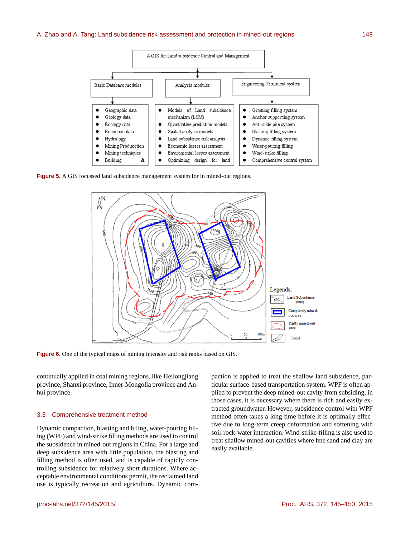

**Figure 5.** A GIS focussed land subsidence management system for in mined-out regions.



**Figure 6.** One of the typical maps of mining intensity and risk ranks based on GIS.

continually applied in coal mining regions, like Heilongjiang province, Shanxi province, Inner-Mongolia province and Anhui province.

## 3.3 Comprehensive treatment method

Dynamic compaction, blasting and filling, water-pouring filling (WPF) and wind-strike filling methods are used to control the subsidence in mined-out regions in China. For a large and deep subsidence area with little population, the blasting and filling method is often used, and is capable of rapidly controlling subsidence for relatively short durations. Where acceptable environmental conditions permit, the reclaimed land use is typically recreation and agriculture. Dynamic com-

paction is applied to treat the shallow land subsidence, particular surface-based transportation system. WPF is often applied to prevent the deep mined-out cavity from subsiding, in those cases, it is necessary where there is rich and easily extracted groundwater. However, subsidence control with WPF method often takes a long time before it is optimally effective due to long-term creep deformation and softening with soil-rock-water interaction. Wind-strike-filling is also used to treat shallow mined-out cavities where fine sand and clay are easily available.